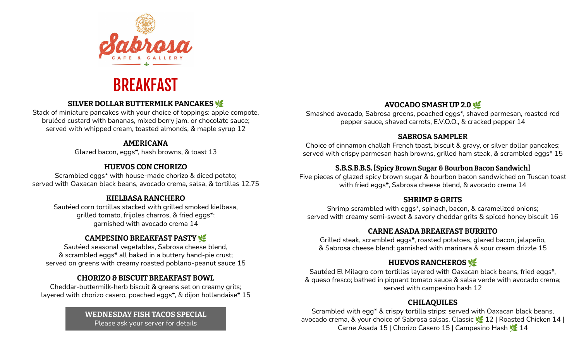

# BREAKFAST

## **SILVER DOLLAR BUTTERMILK PANCAKES**

Stack of miniature pancakes with your choice of toppings: apple compote, bruléed custard with bananas, mixed berry jam, or chocolate sauce; served with whipped cream, toasted almonds, & maple syrup 12

### **AMERICANA**

Glazed bacon, eggs\*, hash browns, & toast 13

### **HUEVOS CON CHORIZO**

Scrambled eggs\* with house-made chorizo & diced potato; served with Oaxacan black beans, avocado crema, salsa, & tortillas 12.75

### **KIELBASA RANCHERO**

Sautéed corn tortillas stacked with grilled smoked kielbasa, grilled tomato, frijoles charros, & fried eggs\*; garnished with avocado crema 14

## **CAMPESINO BREAKFAST PASTY**

Sautéed seasonal vegetables, Sabrosa cheese blend, & scrambled eggs\* all baked in a buttery hand-pie crust; served on greens with creamy roasted poblano-peanut sauce 15

## **CHORIZO & BISCUIT BREAKFAST BOWL**

Cheddar-buttermilk-herb biscuit & greens set on creamy grits; layered with chorizo casero, poached eggs\*, & dijon hollandaise\* 15

> **WEDNESDAY FISH TACOS SPECIAL** Please ask your server for details

### **AVOCADO SMASH UP 2.0**

Smashed avocado, Sabrosa greens, poached eggs\*, shaved parmesan, roasted red pepper sauce, shaved carrots, E.V.O.O., & cracked pepper 14

#### **SABROSA SAMPLER**

Choice of cinnamon challah French toast, biscuit & gravy, or silver dollar pancakes; served with crispy parmesan hash browns, grilled ham steak, & scrambled eggs\* 15

## **S.B.S.B.B.S. [Spicy Brown Sugar & Bourbon Bacon Sandwich]**

Five pieces of glazed spicy brown sugar & bourbon bacon sandwiched on Tuscan toast with fried eggs\*, Sabrosa cheese blend, & avocado crema 14

### **SHRIMP & GRITS**

Shrimp scrambled with eggs\*, spinach, bacon, & caramelized onions; served with creamy semi-sweet & savory cheddar grits & spiced honey biscuit 16

## **CARNE ASADA BREAKFAST BURRITO**

Grilled steak, scrambled eggs\*, roasted potatoes, glazed bacon, jalapeño, & Sabrosa cheese blend; garnished with marinara & sour cream drizzle 15

## **HUEVOS RANCHEROS**

Sautéed El Milagro corn tortillas layered with Oaxacan black beans, fried eggs\*, & queso fresco; bathed in piquant tomato sauce & salsa verde with avocado crema; served with campesino hash 12

## **CHILAQUILES**

Scrambled with egg\* & crispy tortilla strips; served with Oaxacan black beans, avocado crema, & your choice of Sabrosa salsas. Classic 12 | Roasted Chicken 14 | Carne Asada 15 | Chorizo Casero 15 | Campesino Hash 14